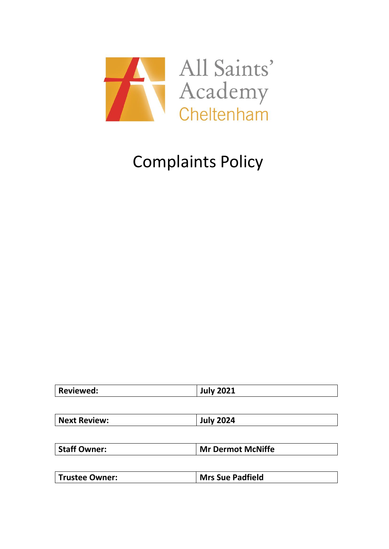

|--|

| <b>Next Review:</b> | <b>July 2024</b> |
|---------------------|------------------|
|                     |                  |

| <b>Staff Owner:</b> | <b>Mr Dermot McNiffe</b> |
|---------------------|--------------------------|
|---------------------|--------------------------|

| Trustee Owner: | <b>Mrs Sue Padfield</b> |
|----------------|-------------------------|
|                |                         |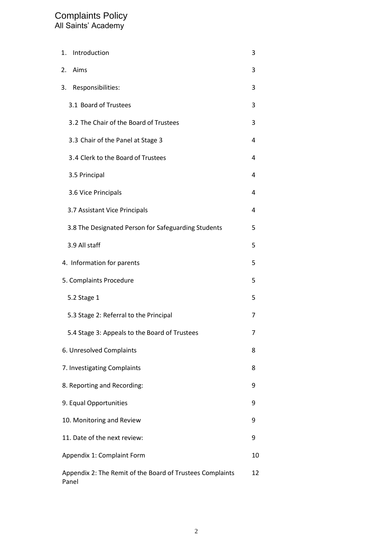| 1. | Introduction                                                       | 3  |
|----|--------------------------------------------------------------------|----|
| 2. | Aims                                                               | 3  |
| 3. | Responsibilities:                                                  | 3  |
|    | 3.1 Board of Trustees                                              | 3  |
|    | 3.2 The Chair of the Board of Trustees                             | 3  |
|    | 3.3 Chair of the Panel at Stage 3                                  | 4  |
|    | 3.4 Clerk to the Board of Trustees                                 | 4  |
|    | 3.5 Principal                                                      | 4  |
|    | 3.6 Vice Principals                                                | 4  |
|    | 3.7 Assistant Vice Principals                                      | 4  |
|    | 3.8 The Designated Person for Safeguarding Students                | 5  |
|    | 3.9 All staff                                                      | 5  |
|    | 4. Information for parents                                         | 5  |
|    | 5. Complaints Procedure                                            | 5  |
|    | 5.2 Stage 1                                                        | 5  |
|    | 5.3 Stage 2: Referral to the Principal                             | 7  |
|    | 5.4 Stage 3: Appeals to the Board of Trustees                      | 7  |
|    | 6. Unresolved Complaints                                           | 8  |
|    | 7. Investigating Complaints                                        | 8  |
|    | 8. Reporting and Recording:                                        | 9  |
|    | 9. Equal Opportunities                                             | 9  |
|    | 10. Monitoring and Review                                          | 9  |
|    | 11. Date of the next review:                                       | 9  |
|    | Appendix 1: Complaint Form                                         | 10 |
|    | Appendix 2: The Remit of the Board of Trustees Complaints<br>Panel | 12 |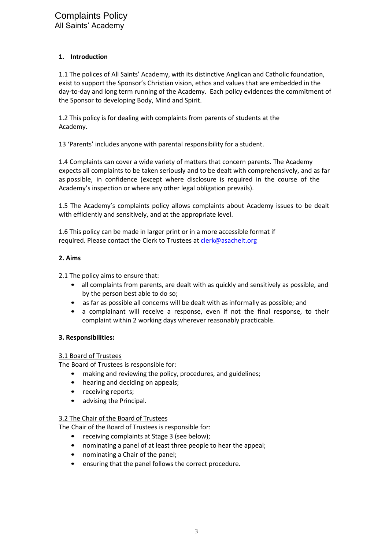### **1. Introduction**

1.1 The polices of All Saints' Academy, with its distinctive Anglican and Catholic foundation, exist to support the Sponsor's Christian vision, ethos and values that are embedded in the day-to-day and long term running of the Academy. Each policy evidences the commitment of the Sponsor to developing Body, Mind and Spirit.

1.2 This policy is for dealing with complaints from parents of students at the Academy.

13 'Parents' includes anyone with parental responsibility for a student.

1.4 Complaints can cover a wide variety of matters that concern parents. The Academy expects all complaints to be taken seriously and to be dealt with comprehensively, and as far as possible, in confidence (except where disclosure is required in the course of the Academy's inspection or where any other legal obligation prevails).

1.5 The Academy's complaints policy allows complaints about Academy issues to be dealt with efficiently and sensitively, and at the appropriate level.

1.6 This policy can be made in larger print or in a more accessible format if required. Please contact the Clerk to Trustees at *clerk@asachelt.org* 

### **2. Aims**

2.1 The policy aims to ensure that:

- all complaints from parents, are dealt with as quickly and sensitively as possible, and by the person best able to do so;
- as far as possible all concerns will be dealt with as informally as possible; and
- a complainant will receive a response, even if not the final response, to their complaint within 2 working days wherever reasonably practicable.

### **3. Responsibilities:**

### 3.1 Board of Trustees

The Board of Trustees is responsible for:

- making and reviewing the policy, procedures, and guidelines;
- hearing and deciding on appeals;
- receiving reports;
- advising the Principal.

#### 3.2 The Chair of the Board of Trustees

The Chair of the Board of Trustees is responsible for:

- receiving complaints at Stage 3 (see below);
- nominating a panel of at least three people to hear the appeal;
- nominating a Chair of the panel;
- ensuring that the panel follows the correct procedure.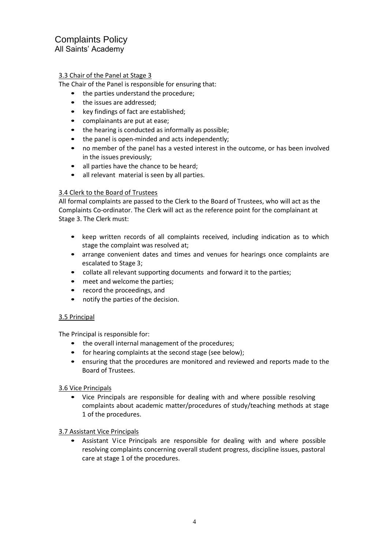### 3.3 Chair of the Panel at Stage 3

The Chair of the Panel is responsible for ensuring that:

- the parties understand the procedure;
- the issues are addressed;
- key findings of fact are established;
- complainants are put at ease;
- the hearing is conducted as informally as possible;
- the panel is open-minded and acts independently;
- no member of the panel has a vested interest in the outcome, or has been involved in the issues previously;
- all parties have the chance to be heard;
- all relevant material is seen by all parties.

### 3.4 Clerk to the Board of Trustees

All formal complaints are passed to the Clerk to the Board of Trustees, who will act as the Complaints Co-ordinator. The Clerk will act as the reference point for the complainant at Stage 3. The Clerk must:

- keep written records of all complaints received, including indication as to which stage the complaint was resolved at;
- arrange convenient dates and times and venues for hearings once complaints are escalated to Stage 3;
- collate all relevant supporting documents and forward it to the parties;
- meet and welcome the parties;
- record the proceedings, and
- notify the parties of the decision.

#### 3.5 Principal

The Principal is responsible for:

- the overall internal management of the procedures;
- for hearing complaints at the second stage (see below);
- ensuring that the procedures are monitored and reviewed and reports made to the Board of Trustees.

3.6 Vice Principals

• Vice Principals are responsible for dealing with and where possible resolving complaints about academic matter/procedures of study/teaching methods at stage 1 of the procedures.

3.7 Assistant Vice Principals

• Assistant Vice Principals are responsible for dealing with and where possible resolving complaints concerning overall student progress, discipline issues, pastoral care at stage 1 of the procedures.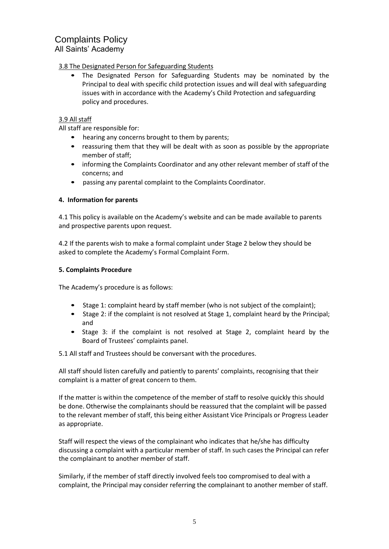3.8 The Designated Person for Safeguarding Students

• The Designated Person for Safeguarding Students may be nominated by the Principal to deal with specific child protection issues and will deal with safeguarding issues with in accordance with the Academy's Child Protection and safeguarding policy and procedures.

### 3.9 All staff

All staff are responsible for:

- hearing any concerns brought to them by parents;
- reassuring them that they will be dealt with as soon as possible by the appropriate member of staff;
- informing the Complaints Coordinator and any other relevant member of staff of the concerns; and
- passing any parental complaint to the Complaints Coordinator.

### **4. Information for parents**

4.1 This policy is available on the Academy's website and can be made available to parents and prospective parents upon request.

4.2 If the parents wish to make a formal complaint under Stage 2 below they should be asked to complete the Academy's Formal Complaint Form.

### **5. Complaints Procedure**

The Academy's procedure is as follows:

- Stage 1: complaint heard by staff member (who is not subject of the complaint);
- Stage 2: if the complaint is not resolved at Stage 1, complaint heard by the Principal; and
- Stage 3: if the complaint is not resolved at Stage 2, complaint heard by the Board of Trustees' complaints panel.

5.1 All staff and Trustees should be conversant with the procedures.

All staff should listen carefully and patiently to parents' complaints, recognising that their complaint is a matter of great concern to them.

If the matter is within the competence of the member of staff to resolve quickly this should be done. Otherwise the complainants should be reassured that the complaint will be passed to the relevant member of staff, this being either Assistant Vice Principals or Progress Leader as appropriate.

Staff will respect the views of the complainant who indicates that he/she has difficulty discussing a complaint with a particular member of staff. In such cases the Principal can refer the complainant to another member of staff.

Similarly, if the member of staff directly involved feels too compromised to deal with a complaint, the Principal may consider referring the complainant to another member of staff.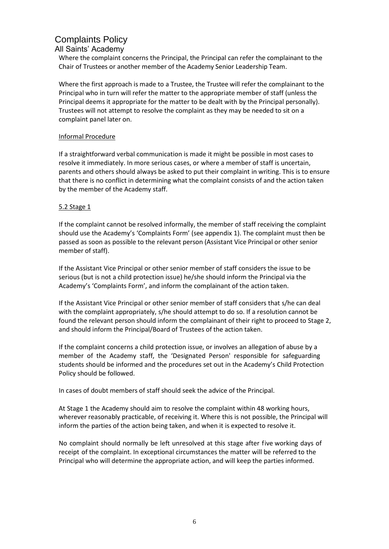### All Saints' Academy

Where the complaint concerns the Principal, the Principal can refer the complainant to the Chair of Trustees or another member of the Academy Senior Leadership Team.

Where the first approach is made to a Trustee, the Trustee will refer the complainant to the Principal who in turn will refer the matter to the appropriate member of staff (unless the Principal deems it appropriate for the matter to be dealt with by the Principal personally). Trustees will not attempt to resolve the complaint as they may be needed to sit on a complaint panel later on.

### Informal Procedure

If a straightforward verbal communication is made it might be possible in most cases to resolve it immediately. In more serious cases, or where a member of staff is uncertain, parents and others should always be asked to put their complaint in writing. This is to ensure that there is no conflict in determining what the complaint consists of and the action taken by the member of the Academy staff.

### 5.2 Stage 1

If the complaint cannot be resolved informally, the member of staff receiving the complaint should use the Academy's 'Complaints Form' (see appendix 1). The complaint must then be passed as soon as possible to the relevant person (Assistant Vice Principal or other senior member of staff).

If the Assistant Vice Principal or other senior member of staff considers the issue to be serious (but is not a child protection issue) he/she should inform the Principal via the Academy's 'Complaints Form', and inform the complainant of the action taken.

If the Assistant Vice Principal or other senior member of staff considers that s/he can deal with the complaint appropriately, s/he should attempt to do so. If a resolution cannot be found the relevant person should inform the complainant of their right to proceed to Stage 2, and should inform the Principal/Board of Trustees of the action taken.

If the complaint concerns a child protection issue, or involves an allegation of abuse by a member of the Academy staff, the 'Designated Person' responsible for safeguarding students should be informed and the procedures set out in the Academy's Child Protection Policy should be followed.

In cases of doubt members of staff should seek the advice of the Principal.

At Stage 1 the Academy should aim to resolve the complaint within 48 working hours, wherever reasonably practicable, of receiving it. Where this is not possible, the Principal will inform the parties of the action being taken, and when it is expected to resolve it.

No complaint should normally be left unresolved at this stage after five working days of receipt of the complaint. In exceptional circumstances the matter will be referred to the Principal who will determine the appropriate action, and will keep the parties informed.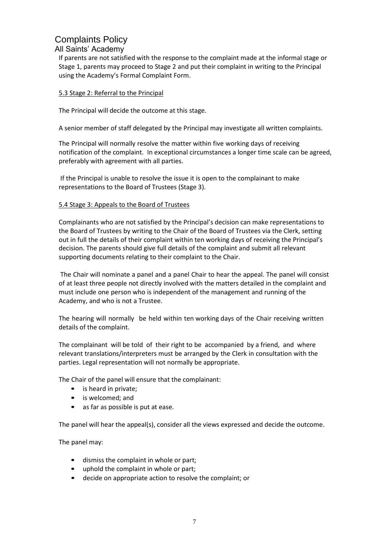### All Saints' Academy

If parents are not satisfied with the response to the complaint made at the informal stage or Stage 1, parents may proceed to Stage 2 and put their complaint in writing to the Principal using the Academy's Formal Complaint Form.

### 5.3 Stage 2: Referral to the Principal

The Principal will decide the outcome at this stage.

A senior member of staff delegated by the Principal may investigate all written complaints.

The Principal will normally resolve the matter within five working days of receiving notification of the complaint. In exceptional circumstances a longer time scale can be agreed, preferably with agreement with all parties.

If the Principal is unable to resolve the issue it is open to the complainant to make representations to the Board of Trustees (Stage 3).

### 5.4 Stage 3: Appeals to the Board of Trustees

Complainants who are not satisfied by the Principal's decision can make representations to the Board of Trustees by writing to the Chair of the Board of Trustees via the Clerk, setting out in full the details of their complaint within ten working days of receiving the Principal's decision. The parents should give full details of the complaint and submit all relevant supporting documents relating to their complaint to the Chair.

The Chair will nominate a panel and a panel Chair to hear the appeal. The panel will consist of at least three people not directly involved with the matters detailed in the complaint and must include one person who is independent of the management and running of the Academy, and who is not a Trustee.

The hearing will normally be held within ten working days of the Chair receiving written details of the complaint.

The complainant will be told of their right to be accompanied by a friend, and where relevant translations/interpreters must be arranged by the Clerk in consultation with the parties. Legal representation will not normally be appropriate.

The Chair of the panel will ensure that the complainant:

- is heard in private;
- is welcomed; and
- as far as possible is put at ease.

The panel will hear the appeal(s), consider all the views expressed and decide the outcome.

The panel may:

- dismiss the complaint in whole or part;
- uphold the complaint in whole or part;
- decide on appropriate action to resolve the complaint; or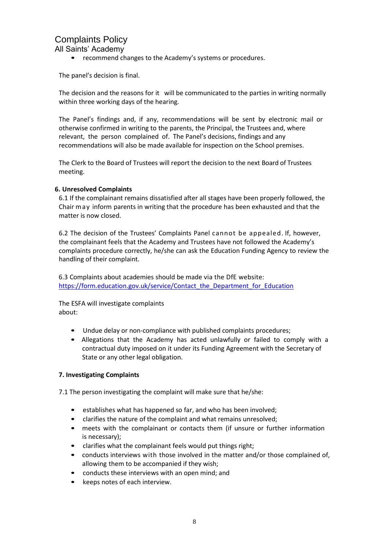All Saints' Academy

• recommend changes to the Academy's systems or procedures.

The panel's decision is final.

The decision and the reasons for it will be communicated to the parties in writing normally within three working days of the hearing.

The Panel's findings and, if any, recommendations will be sent by electronic mail or otherwise confirmed in writing to the parents, the Principal, the Trustees and, where relevant, the person complained of. The Panel's decisions, findings and any recommendations will also be made available for inspection on the School premises.

The Clerk to the Board of Trustees will report the decision to the next Board of Trustees meeting.

### **6. Unresolved Complaints**

6.1 If the complainant remains dissatisfied after all stages have been properly followed, the Chair m ay inform parents in writing that the procedure has been exhausted and that the matter is now closed.

6.2 The decision of the Trustees' Complaints Panel cannot be appealed. If, however, the complainant feels that the Academy and Trustees have not followed the Academy's complaints procedure correctly, he/she can ask the Education Funding Agency to review the handling of their complaint.

6.3 Complaints about academies should be made via the DfE website: [https://form.education.gov.uk/service/Contact\\_the\\_Department\\_for\\_Education](https://form.education.gov.uk/service/Contact_the_Department_for_Education)

The ESFA will investigate complaints about:

- Undue delay or non-compliance with published complaints procedures;
- Allegations that the Academy has acted unlawfully or failed to comply with a contractual duty imposed on it under its Funding Agreement with the Secretary of State or any other legal obligation.

### **7. Investigating Complaints**

7.1 The person investigating the complaint will make sure that he/she:

- establishes what has happened so far, and who has been involved;
- clarifies the nature of the complaint and what remains unresolved;
- meets with the complainant or contacts them (if unsure or further information is necessary);
- clarifies what the complainant feels would put things right;
- conducts interviews with those involved in the matter and/or those complained of, allowing them to be accompanied if they wish;
- conducts these interviews with an open mind; and
- keeps notes of each interview.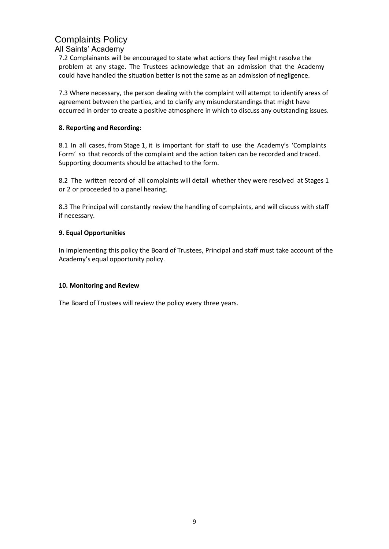### All Saints' Academy

7.2 Complainants will be encouraged to state what actions they feel might resolve the problem at any stage. The Trustees acknowledge that an admission that the Academy could have handled the situation better is not the same as an admission of negligence.

7.3 Where necessary, the person dealing with the complaint will attempt to identify areas of agreement between the parties, and to clarify any misunderstandings that might have occurred in order to create a positive atmosphere in which to discuss any outstanding issues.

### **8. Reporting and Recording:**

8.1 In all cases, from Stage 1, it is important for staff to use the Academy's 'Complaints Form' so that records of the complaint and the action taken can be recorded and traced. Supporting documents should be attached to the form.

8.2 The written record of all complaints will detail whether they were resolved at Stages 1 or 2 or proceeded to a panel hearing.

8.3 The Principal will constantly review the handling of complaints, and will discuss with staff if necessary.

### **9. Equal Opportunities**

In implementing this policy the Board of Trustees, Principal and staff must take account of the Academy's equal opportunity policy.

#### **10. Monitoring and Review**

The Board of Trustees will review the policy every three years.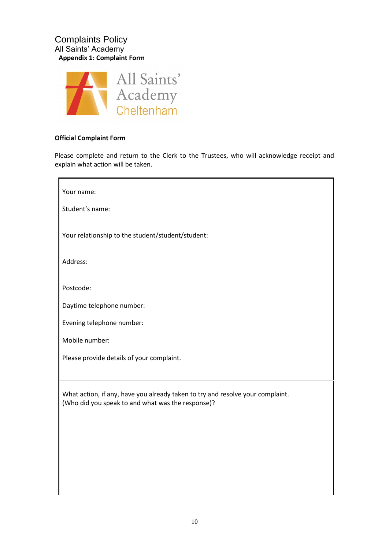### Complaints Policy All Saints' Academy **Appendix 1: Complaint Form**



### **Official Complaint Form**

Please complete and return to the Clerk to the Trustees, who will acknowledge receipt and explain what action will be taken.

| Your name:                                                                                                                          |
|-------------------------------------------------------------------------------------------------------------------------------------|
| Student's name:                                                                                                                     |
| Your relationship to the student/student/student:                                                                                   |
| Address:                                                                                                                            |
| Postcode:                                                                                                                           |
| Daytime telephone number:                                                                                                           |
| Evening telephone number:                                                                                                           |
| Mobile number:                                                                                                                      |
| Please provide details of your complaint.                                                                                           |
|                                                                                                                                     |
| What action, if any, have you already taken to try and resolve your complaint.<br>(Who did you speak to and what was the response)? |
|                                                                                                                                     |
|                                                                                                                                     |
|                                                                                                                                     |
|                                                                                                                                     |
|                                                                                                                                     |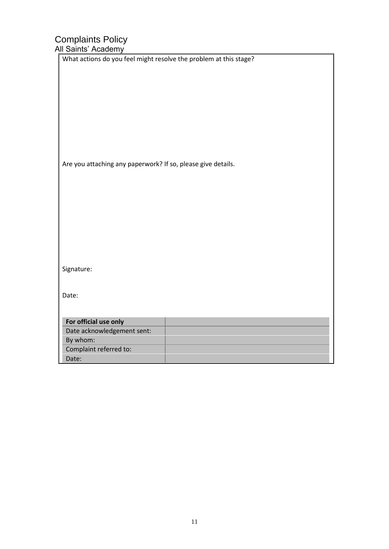| $\frac{1}{2}$                                                     |
|-------------------------------------------------------------------|
| What actions do you feel might resolve the problem at this stage? |
|                                                                   |
|                                                                   |
|                                                                   |
|                                                                   |
|                                                                   |
|                                                                   |
|                                                                   |
| Are you attaching any paperwork? If so, please give details.      |
|                                                                   |
|                                                                   |
|                                                                   |
|                                                                   |
|                                                                   |
|                                                                   |
|                                                                   |
|                                                                   |
| Signature:                                                        |
|                                                                   |
| Date:                                                             |
|                                                                   |
| For official use only                                             |
| Date acknowledgement sent:                                        |
| By whom:                                                          |
| Complaint referred to:                                            |
| Date:                                                             |